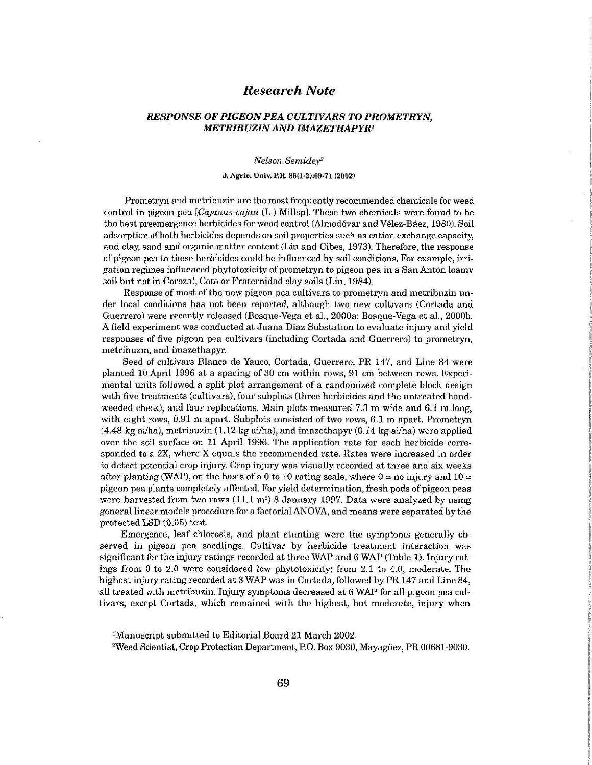# *Research Note*

## *RESPONSE OF PIGEON PEA CULTIVARS TO PROMETRYN, METRIBUZIN AND IMAZETHAPYR<sup>1</sup>*

#### *Nelson Semidey<sup>2</sup>*

### J. Agrie. Univ. P.R. 86(l-2):69-71 (2002)

Prometryn and metribuzin are the most frequently recommended chemicals for weed control in pigeon pea *[Cajanus cajan* (L.) Millsp]. These two chemicals were found to be the best preemergence herbicides for weed control (Almodóvar and Vélez-Báez, 1980). Soil **adsorption** of both herbicides depends on soil properties such as cation exchange capacity, and clay, sand and organic matter content (Liu and Cibes, 1973). **Therefore,** the response of pigeon pea to these herbicides could be influenced by soil conditions. For example, irrigation regimes influenced phytotoxicity of prometryn to pigeon pea in a San Antón loamy soil but not in Corozal, Coto or Fraternidad clay soils (Liu, 1984).

Response of most of the new pigeon pea cultivars to prometryn and **metribuzin under local conditions has not been** reported, although **two new cultivars** (Cortada **and**  Guerrero) were recently released (Bosque-Vega et al., 2000a; Bosque-Vega et al., 2000b. A field experiment **was** conducted **at Juana** Díaz Substation to evaluate injury and yield responses of five pigeon pea cultivars (including Cortada and **Guerrero) to** prometryn, metribuzin, and imazethapyr.

Seed of cultivars Blanco de Yauco, Cortada, Guerrero, **PR 147,** and Line 84 were planted 10 April 1996 at a spacing of 30 cm within rows, 91 cm between rows. Experimental units followed a split plot arrangement of a randomized complete block **design**  with five treatments (cultivars), four subplots (three herbicides and the untreated **hand**weeded check), and four replications. Main plots measured **7.3 m wide** and 6.1 m long, with eight **rows, 0.91 m apart.** Subplots **consisted of two rows, 6.1 m apart.** Prometryn (4.48 kg ai/ha), metribuzin (1.12 kg ai/ha), and imazethapyr (0.14 kg ai/ha) were applied **over the** soil surface **on 11 April** 1996. The application **rate for each** herbicide corresponded to a 2X, where X equals the recommended rate. Rates were increased in order to detect potential crop injury. Crop injury was visually recorded at three and six weeks **after** planting (WAP), on the **basis of a 0 to 10 rating scale, where 0 = no injury and 10** = pigeon pea plants completely affected. For yield determination, fresh pods of pigeon peas were harvested from two rows (11.1 m<sup>2</sup>) 8 January 1997. Data were analyzed by using general linear models procedure for a factorial ANOVA, and means were separated by the **protected LSD (0.05)** test.

Emergence, leaf chlorosis, **and plant** stunting were **the symptoms generally** observed **in pigeon pea seedlings.** Cultivar **by herbicide treatment** interaction was significant for the injury ratings recorded at three WAP and 6 WAP (Table 1). Injury **ratings from 0 to 2.0 were** considered low phytotoxicity; from 2.1 to 4.0, moderate. The highest injury rating recorded at 3 WAP was in Cortada, followed by PR 147 and Line 84, all treated with metribuzin. **Injury** symptoms decreased at 6 WAP for all pigeon pea cultivars, except Cortada, which remained with the highest, but moderate, **injury** when

<sup>2</sup>Weed Scientist, Crop Protection Department, P.O. Box 9030, Mayagüez, PR 00681-9030.

Manuscript submitted to Editorial Board 21 March 2002.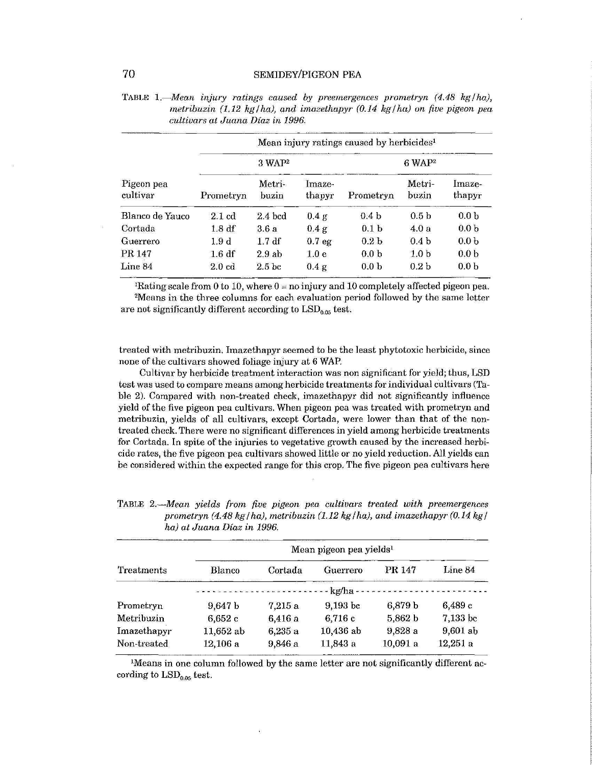|                        | Mean injury ratings caused by herbicides <sup>1</sup> |                    |                   |                   |                  |                  |  |  |  |
|------------------------|-------------------------------------------------------|--------------------|-------------------|-------------------|------------------|------------------|--|--|--|
| Pigeon pea<br>cultivar |                                                       | 3 WAP <sup>2</sup> |                   | $6 \text{ WAP}^2$ |                  |                  |  |  |  |
|                        | Prometryn                                             | Metri-<br>buzin    | Imaze-<br>thapyr  | Prometryn         | Metri-<br>buzin  | Imaze-<br>thapyr |  |  |  |
| Blanco de Yauco        | $2.1 \text{ cd}$                                      | $2.4$ bcd          | 0.4 g             | 0.4 <sub>b</sub>  | 0.5 <sub>b</sub> | 0.0 <sub>b</sub> |  |  |  |
| Cortada                | 1.8df                                                 | 3.6a               | 0.4 g             | 0.1 <sub>b</sub>  | 4.0a             | 0.0 <sub>b</sub> |  |  |  |
| Guerrero               | 1.9d                                                  | 1.7df              | 0.7 <sub>eg</sub> | 0.2 <sub>b</sub>  | 0.4 <sub>b</sub> | 0.0 <sub>b</sub> |  |  |  |
| PR 147                 | 1.6 df                                                | 2.9ab              | 1.0 <sub>e</sub>  | 0.0 <sub>b</sub>  | 1.0 <sub>b</sub> | 0.0 <sub>b</sub> |  |  |  |
| Line 84                | $2.0 \text{ cd}$                                      | 2.5 <sub>bc</sub>  | 0.4 g             | 0.0 <sub>b</sub>  | 0.2 <sub>b</sub> | 0.0 <sub>b</sub> |  |  |  |

|                                  | TABLE 1.—Mean injury ratings caused by preemergences prometryn $(4.48 \text{ kg/ha})$ , |  |  |  |  |                                                                          |  |  |  |  |
|----------------------------------|-----------------------------------------------------------------------------------------|--|--|--|--|--------------------------------------------------------------------------|--|--|--|--|
|                                  |                                                                                         |  |  |  |  | metribuzin (1.12 kg/ha), and imazethapyr (0.14 kg/ha) on five pigeon pea |  |  |  |  |
| cultivars at Juana Díaz in 1996. |                                                                                         |  |  |  |  |                                                                          |  |  |  |  |

<sup>1</sup>Rating scale from 0 to 10, where  $0 =$  no injury and 10 completely affected pigeon pea. <sup>2</sup>Means in the three columns for each evaluation period followed by the same letter are not significantly different according to  $\text{LSD}_{0.05}$  test.

treated with metribuzin. Imazethapyr seemed to be the least phytotoxic herbicide, since none of the cultivars showed foliage injury at 6 WAP.

Cultivar by herbicide treatment interaction was non significant for yield; thus, LSD test was used to compare means among herbicide treatments for individual cultivars (Table 2). Compared with non-treated check, imazethapyr did not significantly influence yield of the five pigeon pea cultivars. When pigeon pea was treated with prometryn and metribuzin, yields of all cultivars, except Cortada, were lower than that of the nontreated check. There were no significant differences in yield among herbicide treatments for Cortada. In spite of the injuries to vegetative growth caused by the increased herbicide rates, the five pigeon pea cultivars showed little or no yield reduction. All yields can be considered within the expected range for this crop. The five pigeon pea cultivars here

| <b>Treatments</b> | Mean pigeon pea yields <sup>1</sup> |         |             |         |          |  |  |  |
|-------------------|-------------------------------------|---------|-------------|---------|----------|--|--|--|
|                   | Blanco                              | Cortada | Guerrero    | PR 147  | Line 84  |  |  |  |
|                   |                                     |         |             |         |          |  |  |  |
| Prometryn         | 9,647 b                             | 7,215a  | 9,193 bc    | 6,879 b | 6.489c   |  |  |  |
| Metribuzin        | 6,652c                              | 6,416 a | 6,716 c     | 5,862 b | 7,133 bc |  |  |  |
| Imazethapyr       | 11,652 ab                           | 6,235a  | $10,436$ ab | 9,828 a | 9,601 ab |  |  |  |
| Non-treated       | 12,106 a                            | 9,846 a | 11,843 a    | 10,091a | 12,251a  |  |  |  |

TABLE 2.—*Mean yields from five pigeon pea cultivars treated with preemergences*  prometryn (4.48 kg /ha), metribuzin (1.12 kg /ha), and imazethapyr (0.14 kg / *ha) at Juana Díaz in 1996.* 

<sup>1</sup>Means in one column followed by the same letter are not significantly different according to  $LSD<sub>0.05</sub>$  test.